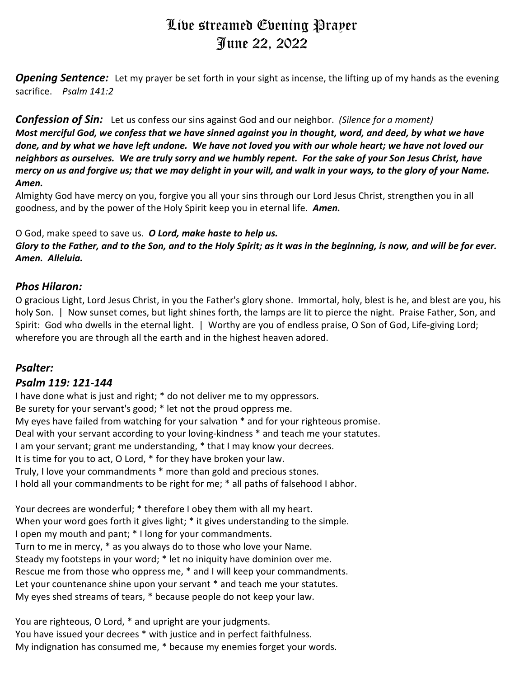# Live streamed Evening Prayer June 22, 2022

*Opening Sentence:* Let my prayer be set forth in your sight as incense, the lifting up of my hands as the evening sacrifice. *Psalm 141:2*

*Confession of Sin:* Let us confess our sins against God and our neighbor. *(Silence for a moment) Most merciful God, we confess that we have sinned against you in thought, word, and deed, by what we have done, and by what we have left undone. We have not loved you with our whole heart; we have not loved our neighbors as ourselves. We are truly sorry and we humbly repent. For the sake of your Son Jesus Christ, have mercy on us and forgive us; that we may delight in your will, and walk in your ways, to the glory of your Name. Amen.*

Almighty God have mercy on you, forgive you all your sins through our Lord Jesus Christ, strengthen you in all goodness, and by the power of the Holy Spirit keep you in eternal life. *Amen.*

#### O God, make speed to save us. *O Lord, make haste to help us.*

*Glory to the Father, and to the Son, and to the Holy Spirit; as it was in the beginning, is now, and will be for ever. Amen. Alleluia.*

#### *Phos Hilaron:*

O gracious Light, Lord Jesus Christ, in you the Father's glory shone. Immortal, holy, blest is he, and blest are you, his holy Son. | Now sunset comes, but light shines forth, the lamps are lit to pierce the night. Praise Father, Son, and Spirit: God who dwells in the eternal light. | Worthy are you of endless praise, O Son of God, Life-giving Lord; wherefore you are through all the earth and in the highest heaven adored.

#### *Psalter:*

## *Psalm 119: 121-144*

I have done what is just and right; \* do not deliver me to my oppressors. Be surety for your servant's good; \* let not the proud oppress me. My eyes have failed from watching for your salvation \* and for your righteous promise. Deal with your servant according to your loving-kindness \* and teach me your statutes. I am your servant; grant me understanding, \* that I may know your decrees. It is time for you to act, O Lord, \* for they have broken your law. Truly, I love your commandments \* more than gold and precious stones. I hold all your commandments to be right for me; \* all paths of falsehood I abhor.

Your decrees are wonderful; \* therefore I obey them with all my heart. When your word goes forth it gives light; \* it gives understanding to the simple. I open my mouth and pant; \* I long for your commandments. Turn to me in mercy, \* as you always do to those who love your Name. Steady my footsteps in your word; \* let no iniquity have dominion over me. Rescue me from those who oppress me, \* and I will keep your commandments. Let your countenance shine upon your servant  $*$  and teach me your statutes. My eyes shed streams of tears, \* because people do not keep your law.

You are righteous, O Lord, \* and upright are your judgments. You have issued your decrees \* with justice and in perfect faithfulness. My indignation has consumed me, \* because my enemies forget your words.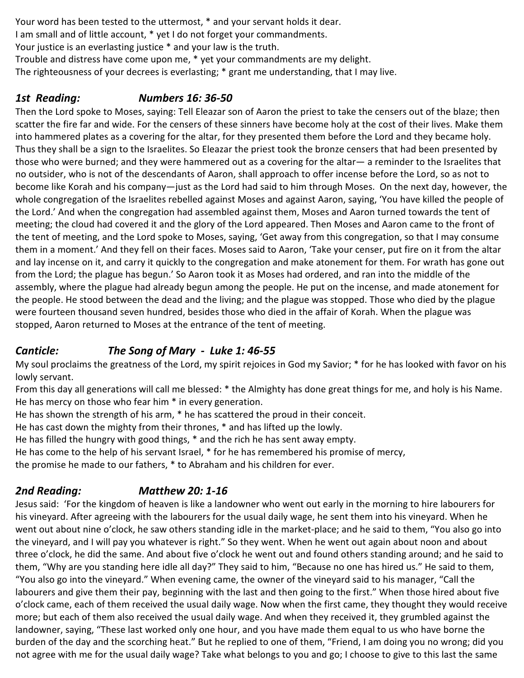Your word has been tested to the uttermost, \* and your servant holds it dear.

I am small and of little account, \* yet I do not forget your commandments.

Your justice is an everlasting justice \* and your law is the truth.

Trouble and distress have come upon me, \* yet your commandments are my delight.

The righteousness of your decrees is everlasting; \* grant me understanding, that I may live.

## *1st Reading: Numbers 16: 36-50*

Then the Lord spoke to Moses, saying: Tell Eleazar son of Aaron the priest to take the censers out of the blaze; then scatter the fire far and wide. For the censers of these sinners have become holy at the cost of their lives. Make them into hammered plates as a covering for the altar, for they presented them before the Lord and they became holy. Thus they shall be a sign to the Israelites. So Eleazar the priest took the bronze censers that had been presented by those who were burned; and they were hammered out as a covering for the altar— a reminder to the Israelites that no outsider, who is not of the descendants of Aaron, shall approach to offer incense before the Lord, so as not to become like Korah and his company—just as the Lord had said to him through Moses. On the next day, however, the whole congregation of the Israelites rebelled against Moses and against Aaron, saying, 'You have killed the people of the Lord.' And when the congregation had assembled against them, Moses and Aaron turned towards the tent of meeting; the cloud had covered it and the glory of the Lord appeared. Then Moses and Aaron came to the front of the tent of meeting, and the Lord spoke to Moses, saying, 'Get away from this congregation, so that I may consume them in a moment.' And they fell on their faces. Moses said to Aaron, 'Take your censer, put fire on it from the altar and lay incense on it, and carry it quickly to the congregation and make atonement for them. For wrath has gone out from the Lord; the plague has begun.' So Aaron took it as Moses had ordered, and ran into the middle of the assembly, where the plague had already begun among the people. He put on the incense, and made atonement for the people. He stood between the dead and the living; and the plague was stopped. Those who died by the plague were fourteen thousand seven hundred, besides those who died in the affair of Korah. When the plague was stopped, Aaron returned to Moses at the entrance of the tent of meeting.

## *Canticle: The Song of Mary - Luke 1: 46-55*

My soul proclaims the greatness of the Lord, my spirit rejoices in God my Savior; \* for he has looked with favor on his lowly servant.

From this day all generations will call me blessed: \* the Almighty has done great things for me, and holy is his Name. He has mercy on those who fear him \* in every generation.

He has shown the strength of his arm, \* he has scattered the proud in their conceit.

He has cast down the mighty from their thrones, \* and has lifted up the lowly.

He has filled the hungry with good things, \* and the rich he has sent away empty.

He has come to the help of his servant Israel, \* for he has remembered his promise of mercy,

the promise he made to our fathers, \* to Abraham and his children for ever.

## *2nd Reading: Matthew 20: 1-16*

Jesus said: 'For the kingdom of heaven is like a landowner who went out early in the morning to hire labourers for his vineyard. After agreeing with the labourers for the usual daily wage, he sent them into his vineyard. When he went out about nine o'clock, he saw others standing idle in the market-place; and he said to them, "You also go into the vineyard, and I will pay you whatever is right." So they went. When he went out again about noon and about three o'clock, he did the same. And about five o'clock he went out and found others standing around; and he said to them, "Why are you standing here idle all day?" They said to him, "Because no one has hired us." He said to them, "You also go into the vineyard." When evening came, the owner of the vineyard said to his manager, "Call the labourers and give them their pay, beginning with the last and then going to the first." When those hired about five o'clock came, each of them received the usual daily wage. Now when the first came, they thought they would receive more; but each of them also received the usual daily wage. And when they received it, they grumbled against the landowner, saying, "These last worked only one hour, and you have made them equal to us who have borne the burden of the day and the scorching heat." But he replied to one of them, "Friend, I am doing you no wrong; did you not agree with me for the usual daily wage? Take what belongs to you and go; I choose to give to this last the same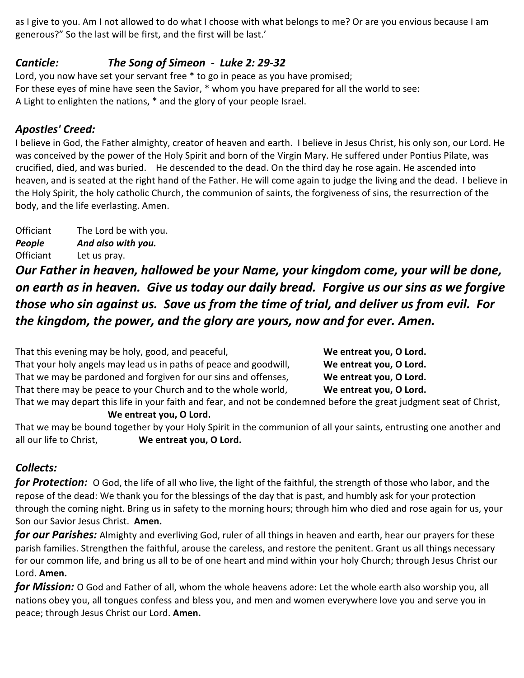as I give to you. Am I not allowed to do what I choose with what belongs to me? Or are you envious because I am generous?" So the last will be first, and the first will be last.'

## *Canticle: The Song of Simeon - Luke 2: 29-32*

Lord, you now have set your servant free \* to go in peace as you have promised; For these eyes of mine have seen the Savior, \* whom you have prepared for all the world to see: A Light to enlighten the nations, \* and the glory of your people Israel.

# *Apostles' Creed:*

I believe in God, the Father almighty, creator of heaven and earth. I believe in Jesus Christ, his only son, our Lord. He was conceived by the power of the Holy Spirit and born of the Virgin Mary. He suffered under Pontius Pilate, was crucified, died, and was buried. He descended to the dead. On the third day he rose again. He ascended into heaven, and is seated at the right hand of the Father. He will come again to judge the living and the dead. I believe in the Holy Spirit, the holy catholic Church, the communion of saints, the forgiveness of sins, the resurrection of the body, and the life everlasting. Amen.

| Officiant | The Lord be with you. |
|-----------|-----------------------|
| People    | And also with you.    |
| Officiant | Let us pray.          |

*Our Father in heaven, hallowed be your Name, your kingdom come, your will be done, on earth as in heaven. Give us today our daily bread. Forgive us our sins as we forgive those who sin against us. Save us from the time of trial, and deliver us from evil. For the kingdom, the power, and the glory are yours, now and for ever. Amen.*

That this evening may be holy, good, and peaceful, **We entreat you, O Lord.** That your holy angels may lead us in paths of peace and goodwill, **We entreat you, O Lord.** That we may be pardoned and forgiven for our sins and offenses, **We entreat you, O Lord.** That there may be peace to your Church and to the whole world, **We entreat you, O Lord.**

That we may depart this life in your faith and fear, and not be condemned before the great judgment seat of Christ, **We entreat you, O Lord.**

That we may be bound together by your Holy Spirit in the communion of all your saints, entrusting one another and all our life to Christ, **We entreat you, O Lord.**

# *Collects:*

*for Protection:* O God, the life of all who live, the light of the faithful, the strength of those who labor, and the repose of the dead: We thank you for the blessings of the day that is past, and humbly ask for your protection through the coming night. Bring us in safety to the morning hours; through him who died and rose again for us, your Son our Savior Jesus Christ. **Amen.**

*for our Parishes:* Almighty and everliving God, ruler of all things in heaven and earth, hear our prayers for these parish families. Strengthen the faithful, arouse the careless, and restore the penitent. Grant us all things necessary for our common life, and bring us all to be of one heart and mind within your holy Church; through Jesus Christ our Lord. **Amen.**

*for Mission:* O God and Father of all, whom the whole heavens adore: Let the whole earth also worship you, all nations obey you, all tongues confess and bless you, and men and women everywhere love you and serve you in peace; through Jesus Christ our Lord. **Amen.**